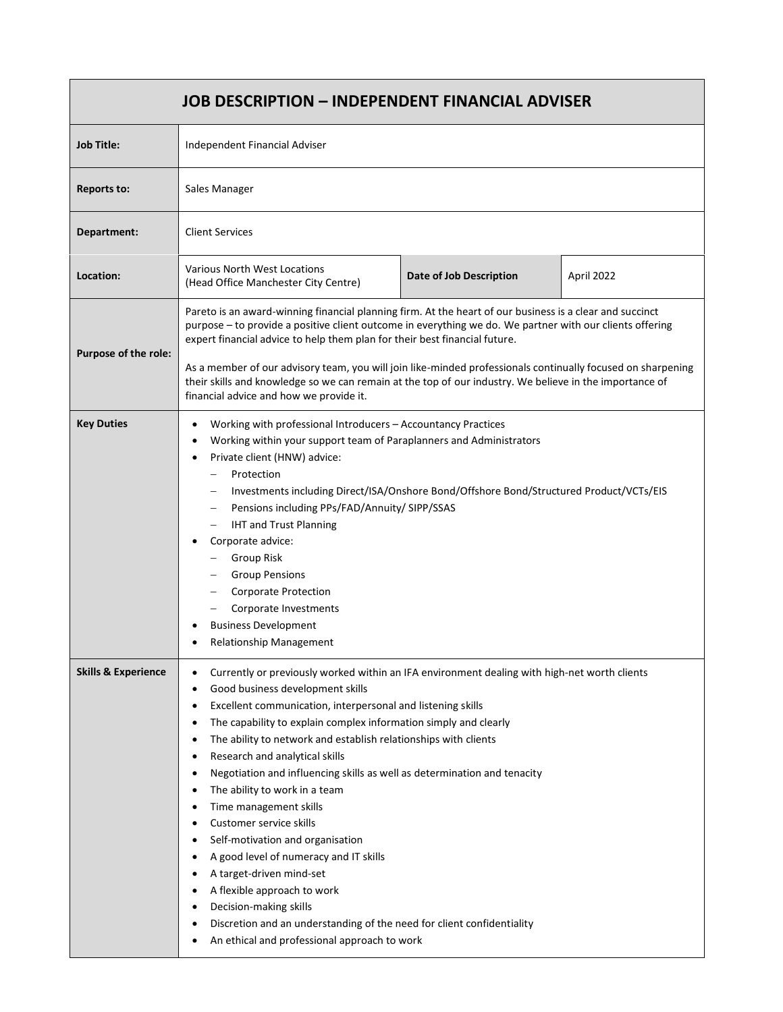| <b>JOB DESCRIPTION - INDEPENDENT FINANCIAL ADVISER</b> |                                                                                                                                                                                                                                                                                                                                                                                                                                                                                                                                                                                                                                                                                                                                                                                                                                                                                                                                                             |  |
|--------------------------------------------------------|-------------------------------------------------------------------------------------------------------------------------------------------------------------------------------------------------------------------------------------------------------------------------------------------------------------------------------------------------------------------------------------------------------------------------------------------------------------------------------------------------------------------------------------------------------------------------------------------------------------------------------------------------------------------------------------------------------------------------------------------------------------------------------------------------------------------------------------------------------------------------------------------------------------------------------------------------------------|--|
| <b>Job Title:</b>                                      | Independent Financial Adviser                                                                                                                                                                                                                                                                                                                                                                                                                                                                                                                                                                                                                                                                                                                                                                                                                                                                                                                               |  |
| <b>Reports to:</b>                                     | Sales Manager                                                                                                                                                                                                                                                                                                                                                                                                                                                                                                                                                                                                                                                                                                                                                                                                                                                                                                                                               |  |
| Department:                                            | <b>Client Services</b>                                                                                                                                                                                                                                                                                                                                                                                                                                                                                                                                                                                                                                                                                                                                                                                                                                                                                                                                      |  |
| Location:                                              | Various North West Locations<br>Date of Job Description<br>April 2022<br>(Head Office Manchester City Centre)                                                                                                                                                                                                                                                                                                                                                                                                                                                                                                                                                                                                                                                                                                                                                                                                                                               |  |
| Purpose of the role:                                   | Pareto is an award-winning financial planning firm. At the heart of our business is a clear and succinct<br>purpose - to provide a positive client outcome in everything we do. We partner with our clients offering<br>expert financial advice to help them plan for their best financial future.<br>As a member of our advisory team, you will join like-minded professionals continually focused on sharpening<br>their skills and knowledge so we can remain at the top of our industry. We believe in the importance of<br>financial advice and how we provide it.                                                                                                                                                                                                                                                                                                                                                                                     |  |
| <b>Key Duties</b>                                      | Working with professional Introducers - Accountancy Practices<br>$\bullet$<br>Working within your support team of Paraplanners and Administrators<br>Private client (HNW) advice:<br>Protection<br>Investments including Direct/ISA/Onshore Bond/Offshore Bond/Structured Product/VCTs/EIS<br>Pensions including PPs/FAD/Annuity/ SIPP/SSAS<br><b>IHT and Trust Planning</b><br>Corporate advice:<br><b>Group Risk</b><br><b>Group Pensions</b><br><b>Corporate Protection</b><br>Corporate Investments<br><b>Business Development</b><br><b>Relationship Management</b>                                                                                                                                                                                                                                                                                                                                                                                    |  |
| <b>Skills &amp; Experience</b>                         | Currently or previously worked within an IFA environment dealing with high-net worth clients<br>$\bullet$<br>Good business development skills<br>$\bullet$<br>Excellent communication, interpersonal and listening skills<br>$\bullet$<br>The capability to explain complex information simply and clearly<br>$\bullet$<br>The ability to network and establish relationships with clients<br>$\bullet$<br>Research and analytical skills<br>٠<br>Negotiation and influencing skills as well as determination and tenacity<br>٠<br>The ability to work in a team<br>Time management skills<br>Customer service skills<br>Self-motivation and organisation<br>٠<br>A good level of numeracy and IT skills<br>$\bullet$<br>A target-driven mind-set<br>A flexible approach to work<br>Decision-making skills<br>٠<br>Discretion and an understanding of the need for client confidentiality<br>$\bullet$<br>An ethical and professional approach to work<br>٠ |  |